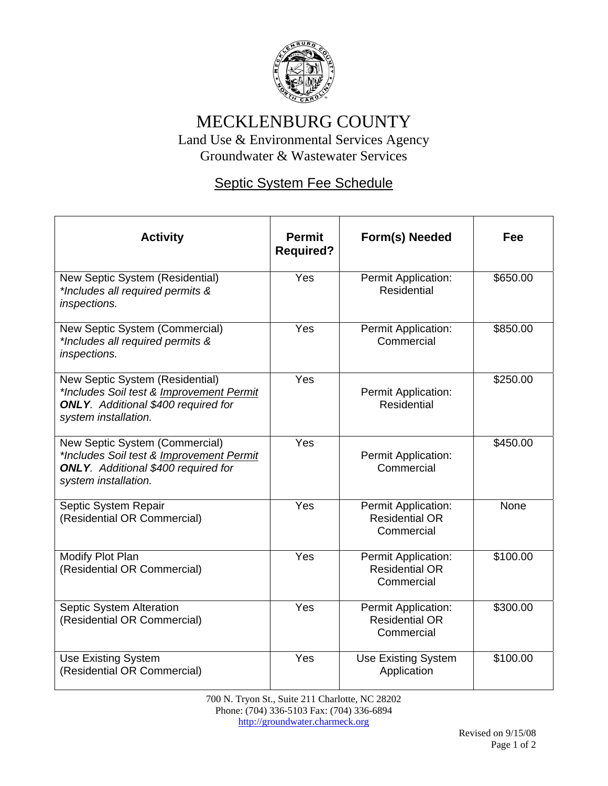

## MECKLENBURG COUNTY

Land Use & Environmental Services Agency Groundwater & Wastewater Services

## Septic System Fee Schedule

| <b>Activity</b>                                                                                                                                   | <b>Permit</b><br><b>Required?</b> | Form(s) Needed                                             | Fee      |
|---------------------------------------------------------------------------------------------------------------------------------------------------|-----------------------------------|------------------------------------------------------------|----------|
| New Septic System (Residential)<br>*Includes all required permits &<br>inspections.                                                               | Yes                               | Permit Application:<br><b>Residential</b>                  | \$650.00 |
| New Septic System (Commercial)<br>*Includes all required permits &<br>inspections.                                                                | Yes                               | Permit Application:<br>Commercial                          | \$850.00 |
| New Septic System (Residential)<br>*Includes Soil test & Improvement Permit<br><b>ONLY.</b> Additional \$400 required for<br>system installation. | Yes                               | Permit Application:<br><b>Residential</b>                  | \$250.00 |
| New Septic System (Commercial)<br>*Includes Soil test & Improvement Permit<br><b>ONLY.</b> Additional \$400 required for<br>system installation.  | Yes                               | Permit Application:<br>Commercial                          | \$450.00 |
| Septic System Repair<br>(Residential OR Commercial)                                                                                               | Yes                               | Permit Application:<br><b>Residential OR</b><br>Commercial | None     |
| Modify Plot Plan<br>(Residential OR Commercial)                                                                                                   | Yes                               | Permit Application:<br><b>Residential OR</b><br>Commercial | \$100.00 |
| Septic System Alteration<br>(Residential OR Commercial)                                                                                           | Yes                               | Permit Application:<br><b>Residential OR</b><br>Commercial | \$300.00 |
| <b>Use Existing System</b><br>(Residential OR Commercial)                                                                                         | Yes                               | <b>Use Existing System</b><br>Application                  | \$100.00 |

700 N. Tryon St., Suite 211 Charlotte, NC 28202 Phone: (704) 336-5103 Fax: (704) 336-6894 http://groundwater.charmeck.org